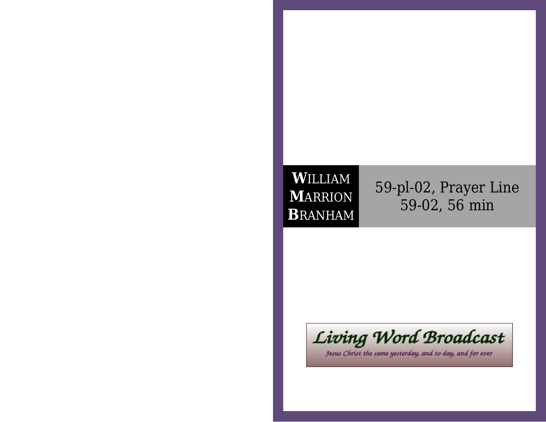## **W**ILLIAM **M**ARRION**B**RANHAM

59-pl-02, Prayer Line59-02, 56 min



Jesus Christ the same yesterday, and to day, and for ever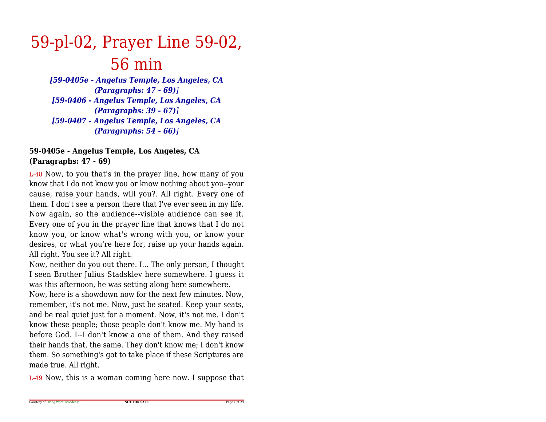## 59-pl-02, Prayer Line 59-02,56 min

 *[59-0405e - Angelus Temple, Los Angeles, CA(Paragraphs: 47 - 69)] [59-0406 - Angelus Temple, Los Angeles, CA(Paragraphs: 39 - 67)] [59-0407 - Angelus Temple, Los Angeles, CA(Paragraphs: 54 - 66)]*

## **59-0405e - Angelus Temple, Los Angeles, CA(Paragraphs: 47 - 69)**

L-48 Now, to you that's in the prayer line, how many of you know that I do not know you or know nothing about you--your cause, raise your hands, will you?. All right. Every one of them. I don't see a person there that I've ever seen in my life. Now again, so the audience--visible audience can see it.Every one of you in the prayer line that knows that I do not know you, or know what's wrong with you, or know your desires, or what you're here for, raise up your hands again.All right. You see it? All right.

Now, neither do you out there. I... The only person, I thought I seen Brother Julius Stadsklev here somewhere. I guess itwas this afternoon, he was setting along here somewhere.

 Now, here is a showdown now for the next few minutes. Now,remember, it's not me. Now, just be seated. Keep your seats,and be real quiet just for a moment. Now, it's not me. I don't know these people; those people don't know me. My hand is before God. I--I don't know a one of them. And they raised their hands that, the same. They don't know me; I don't know them. So something's got to take place if these Scriptures aremade true. All right.

L-49 Now, this is a woman coming here now. I suppose that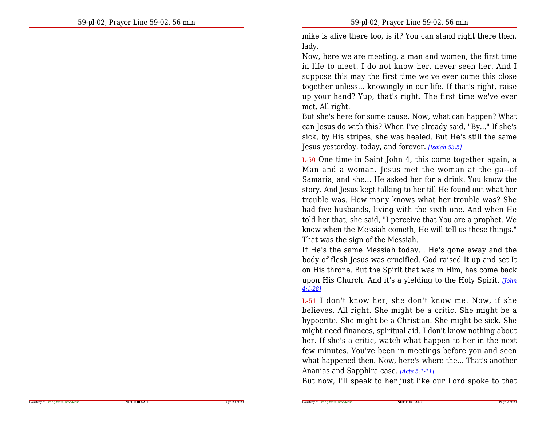mike is alive there too, is it? You can stand right there then,lady.

Now, here we are meeting, a man and women, the first time in life to meet. I do not know her, never seen her. And I suppose this may the first time we've ever come this close together unless... knowingly in our life. If that's right, raise up your hand? Yup, that's right. The first time we've evermet. All right.

But she's here for some cause. Now, what can happen? What can Jesus do with this? When I've already said, "By..." If she's sick, by His stripes, she was healed. But He's still the sameJesus yesterday, today, and forever. *[Isaiah 53:5]*

L-50 One time in Saint John 4, this come together again, a Man and a woman. Jesus met the woman at the ga--of Samaria, and she... He asked her for a drink. You know the story. And Jesus kept talking to her till He found out what her trouble was. How many knows what her trouble was? She had five husbands, living with the sixth one. And when He told her that, she said, "I perceive that You are a prophet. We know when the Messiah cometh, He will tell us these things."That was the sign of the Messiah.

If He's the same Messiah today... He's gone away and the body of flesh Jesus was crucified. God raised It up and set It on His throne. But the Spirit that was in Him, has come back upon His Church. And it's a yielding to the Holy Spirit. *[John4:1-28]*

L-51 I don't know her, she don't know me. Now, if she believes. All right. She might be a critic. She might be a hypocrite. She might be a Christian. She might be sick. She might need finances, spiritual aid. I don't know nothing about her. If she's a critic, watch what happen to her in the next few minutes. You've been in meetings before you and seen what happened then. Now, here's where the... That's anotherAnanias and Sapphira case. *[Acts 5:1-11]*

But now, I'll speak to her just like our Lord spoke to that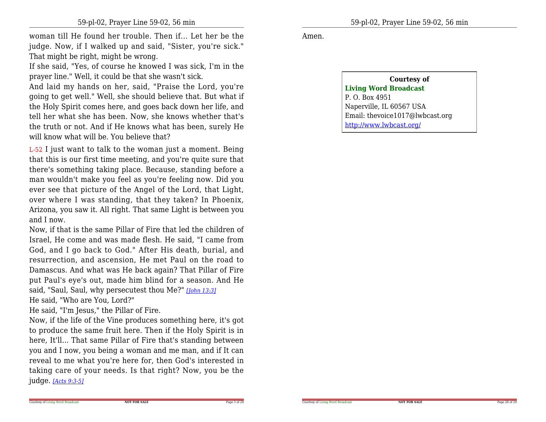woman till He found her trouble. Then if... Let her be the judge. Now, if I walked up and said, "Sister, you're sick."That might be right, might be wrong.

If she said, "Yes, of course he knowed I was sick, I'm in theprayer line." Well, it could be that she wasn't sick.

And laid my hands on her, said, "Praise the Lord, you're going to get well." Well, she should believe that. But what if the Holy Spirit comes here, and goes back down her life, and tell her what she has been. Now, she knows whether that's the truth or not. And if He knows what has been, surely Hewill know what will be. You believe that?

L-52 I just want to talk to the woman just a moment. Being that this is our first time meeting, and you're quite sure that there's something taking place. Because, standing before a man wouldn't make you feel as you're feeling now. Did you ever see that picture of the Angel of the Lord, that Light, over where I was standing, that they taken? In Phoenix,Arizona, you saw it. All right. That same Light is between youand I now.

Now, if that is the same Pillar of Fire that led the children of Israel, He come and was made flesh. He said, "I came from God, and I go back to God." After His death, burial, and resurrection, and ascension, He met Paul on the road to Damascus. And what was He back again? That Pillar of Fire put Paul's eye's out, made him blind for a season. And Hesaid, "Saul, Saul, why persecutest thou Me?" *[John 13:3]*

He said, "Who are You, Lord?"

He said, "I'm Jesus," the Pillar of Fire.

Now, if the life of the Vine produces something here, it's got to produce the same fruit here. Then if the Holy Spirit is in here, It'll... That same Pillar of Fire that's standing between you and I now, you being a woman and me man, and if It can reveal to me what you're here for, then God's interested in taking care of your needs. Is that right? Now, you be thejudge. *[Acts 9:3-5]*

Amen.

**Courtesy ofLiving Word Broadcast**P. O. Box 4951 Naperville, IL 60567 USA Email: thevoice1017@lwbcast.orghttp://www.lwbcast.org/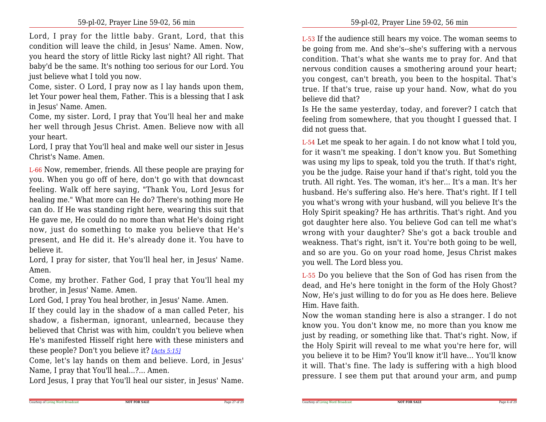Lord, I pray for the little baby. Grant, Lord, that this condition will leave the child, in Jesus' Name. Amen. Now, you heard the story of little Ricky last night? All right. That baby'd be the same. It's nothing too serious for our Lord. Youjust believe what I told you now.

Come, sister. O Lord, I pray now as I lay hands upon them,let Your power heal them, Father. This is a blessing that I askin Jesus' Name. Amen.

Come, my sister. Lord, I pray that You'll heal her and make her well through Jesus Christ. Amen. Believe now with allyour heart.

 Lord, I pray that You'll heal and make well our sister in JesusChrist's Name. Amen.

L-66 Now, remember, friends. All these people are praying for you. When you go off of here, don't go with that downcast feeling. Walk off here saying, "Thank You, Lord Jesus for healing me." What more can He do? There's nothing more He can do. If He was standing right here, wearing this suit that He gave me, He could do no more than what He's doing right now, just do something to make you believe that He's present, and He did it. He's already done it. You have tobelieve it.

 Lord, I pray for sister, that You'll heal her, in Jesus' Name.Amen.

 Come, my brother. Father God, I pray that You'll heal mybrother, in Jesus' Name. Amen.

Lord God, I pray You heal brother, in Jesus' Name. Amen.

 If they could lay in the shadow of a man called Peter, his shadow, <sup>a</sup> fisherman, ignorant, unlearned, because they believed that Christ was with him, couldn't you believe when He's manifested Hisself right here with these ministers andthese people? Don't you believe it? *[Acts 5:15]*

Come, let's lay hands on them and believe. Lord, in Jesus'Name, I pray that You'll heal...?... Amen.

Lord Jesus, I pray that You'll heal our sister, in Jesus' Name.

L-53 If the audience still hears my voice. The woman seems to be going from me. And she's--she's suffering with a nervous condition. That's what she wants me to pray for. And that nervous condition causes a smothering around your heart; you congest, can't breath, you been to the hospital. That's true. If that's true, raise up your hand. Now, what do youbelieve did that?

 Is He the same yesterday, today, and forever? I catch that feeling from somewhere, that you thought I guessed that. Idid not guess that.

L-54 Let me speak to her again. I do not know what I told you, for it wasn't me speaking. I don't know you. But Something was using my lips to speak, told you the truth. If that's right, you be the judge. Raise your hand if that's right, told you the truth. All right. Yes. The woman, it's her... It's a man. It's her husband. He's suffering also. He's here. That's right. If I tell you what's wrong with your husband, will you believe It's the Holy Spirit speaking? He has arthritis. That's right. And you got daughter here also. You believe God can tell me what's wrong with your daughter? She's got a back trouble and weakness. That's right, isn't it. You're both going to be well,and so are you. Go on your road home, Jesus Christ makesyou well. The Lord bless you.

L-55 Do you believe that the Son of God has risen from the dead, and He's here tonight in the form of the Holy Ghost? Now, He's just willing to do for you as He does here. BelieveHim. Have faith.

Now the woman standing here is also a stranger. I do not know you. You don't know me, no more than you know me just by reading, or something like that. That's right. Now, if the Holy Spirit will reveal to me what you're here for, will you believe it to be Him? You'll know it'll have... You'll know it will. That's fine. The lady is suffering with a high bloodpressure. I see them put that around your arm, and pump

Page 27 of 29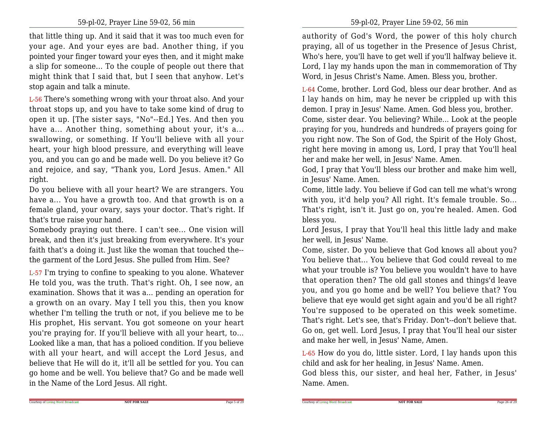that little thing up. And it said that it was too much even for your age. And your eyes are bad. Another thing, if you pointed your finger toward your eyes then, and it might make a slip for someone... To the couple of people out there that might think that I said that, but I seen that anyhow. Let'sstop again and talk a minute.

L-56 There's something wrong with your throat also. And your throat stops up, and you have to take some kind of drug to open it up. [The sister says, "No"--Ed.] Yes. And then you have a... Another thing, something about your, it's a...swallowing, or something. If You'll believe with all your heart, your high blood pressure, and everything will leave you, and you can go and be made well. Do you believe it? Go and rejoice, and say, "Thank you, Lord Jesus. Amen." Allright.

Do you believe with all your heart? We are strangers. You have a... You have a growth too. And that growth is on a female gland, your ovary, says your doctor. That's right. Ifthat's true raise your hand.

Somebody praying out there. I can't see... One vision will break, and then it's just breaking from everywhere. It's your faith that's a doing it. Just like the woman that touched the-the garment of the Lord Jesus. She pulled from Him. See?

L-57 I'm trying to confine to speaking to you alone. Whatever He told you, was the truth. That's right. Oh, I see now, an examination. Shows that it was a... pending an operation for a growth on an ovary. May I tell you this, then you know whether I'm telling the truth or not, if you believe me to be His prophet, His servant. You got someone on your heart you're praying for. If you'll believe with all your heart, to...Looked like a man, that has a polioed condition. If you believe with all your heart, and will accept the Lord Jesus, and believe that He will do it, it'll all be settled for you. You can go home and be well. You believe that? Go and be made wellin the Name of the Lord Jesus. All right.

authority of God's Word, the power of this holy church praying, all of us together in the Presence of Jesus Christ, Who's here, you'll have to get well if you'll halfway believe it.Lord, I lay my hands upon the man in commemoration of ThyWord, in Jesus Christ's Name. Amen. Bless you, brother.

L-64 Come, brother. Lord God, bless our dear brother. And as I lay hands on him, may he never be crippled up with this demon. I pray in Jesus' Name. Amen. God bless you, brother.Come, sister dear. You believing? While... Look at the people praying for you, hundreds and hundreds of prayers going for you right now. The Son of God, the Spirit of the Holy Ghost, right here moving in among us, Lord, I pray that You'll healher and make her well, in Jesus' Name. Amen.

 God, I pray that You'll bless our brother and make him well,in Jesus' Name. Amen.

Come, little lady. You believe if God can tell me what's wrong with you, it'd help you? All right. It's female trouble. So...That's right, isn't it. Just go on, you're healed. Amen. Godbless you.

Lord Jesus, I pray that You'll heal this little lady and makeher well, in Jesus' Name.

Come, sister. Do you believe that God knows all about you? You believe that... You believe that God could reveal to me what your trouble is? You believe you wouldn't have to have that operation then? The old gall stones and things'd leave you, and you go home and be well? You believe that? You believe that eye would get sight again and you'd be all right? You're supposed to be operated on this week sometime.That's right. Let's see, that's Friday. Don't--don't believe that. Go on, get well. Lord Jesus, I pray that You'll heal our sisterand make her well, in Jesus' Name, Amen.

L-65 How do you do, little sister. Lord, I lay hands upon thischild and ask for her healing, in Jesus' Name. Amen.

 God bless this, our sister, and heal her, Father, in Jesus'Name. Amen.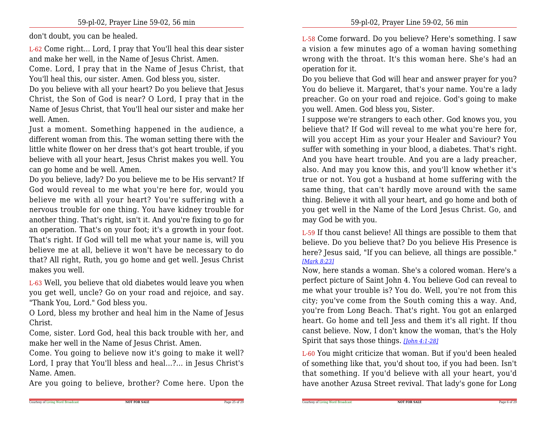don't doubt, you can be healed.

L-62 Come right... Lord, I pray that You'll heal this dear sisterand make her well, in the Name of Jesus Christ. Amen.

Come. Lord, I pray that in the Name of Jesus Christ, thatYou'll heal this, our sister. Amen. God bless you, sister.

 Do you believe with all your heart? Do you believe that Jesus Christ, the Son of God is near? O Lord, I pray that in the Name of Jesus Christ, that You'll heal our sister and make herwell. Amen.

 Just a moment. Something happened in the audience, a different woman from this. The woman setting there with the little white flower on her dress that's got heart trouble, if you believe with all your heart, Jesus Christ makes you well. Youcan go home and be well. Amen.

 Do you believe, lady? Do you believe me to be His servant? If God would reveal to me what you're here for, would you believe me with all your heart? You're suffering with a nervous trouble for one thing. You have kidney trouble for another thing. That's right, isn't it. And you're fixing to go for an operation. That's on your foot; it's a growth in your foot. That's right. If God will tell me what your name is, will you believe me at all, believe it won't have be necessary to do that? All right, Ruth, you go home and get well. Jesus Christmakes you well.

L-63 Well, you believe that old diabetes would leave you when you get well, uncle? Go on your road and rejoice, and say."Thank You, Lord." God bless you.

 O Lord, bless my brother and heal him in the Name of JesusChrist.

 Come, sister. Lord God, heal this back trouble with her, andmake her well in the Name of Jesus Christ. Amen.

 Come. You going to believe now it's going to make it well? Lord, I pray that You'll bless and heal...?... in Jesus Christ'sName. Amen.

Are you going to believe, brother? Come here. Upon the

L-58 Come forward. Do you believe? Here's something. I saw a vision a few minutes ago of a woman having something wrong with the throat. It's this woman here. She's had anoperation for it.

Do you believe that God will hear and answer prayer for you? You do believe it. Margaret, that's your name. You're a lady preacher. Go on your road and rejoice. God's going to makeyou well. Amen. God bless you, Sister.

 I suppose we're strangers to each other. God knows you, you believe that? If God will reveal to me what you're here for,will you accept Him as your your Healer and Saviour? You suffer with something in your blood, a diabetes. That's right.And you have heart trouble. And you are a lady preacher, also. And may you know this, and you'll know whether it's true or not. You got a husband at home suffering with the same thing, that can't hardly move around with the same thing. Believe it with all your heart, and go home and both of you get well in the Name of the Lord Jesus Christ. Go, andmay God be with you.

L-59 If thou canst believe! All things are possible to them that believe. Do you believe that? Do you believe His Presence is here? Jesus said, "If you can believe, all things are possible."*[Mark 8:23]*

 Now, here stands a woman. She's a colored woman. Here's a perfect picture of Saint John 4. You believe God can reveal to me what your trouble is? You do. Well, you're not from this city; you've come from the South coming this a way. And,you're from Long Beach. That's right. You got an enlarged heart. Go home and tell Jess and them it's all right. If thou canst believe. Now, I don't know the woman, that's the HolySpirit that says those things. *[John 4:1-28]*

L-60 You might criticize that woman. But if you'd been healed of something like that, you'd shout too, if you had been. Isn't that something. If you'd believe with all your heart, you'dhave another Azusa Street revival. That lady's gone for Long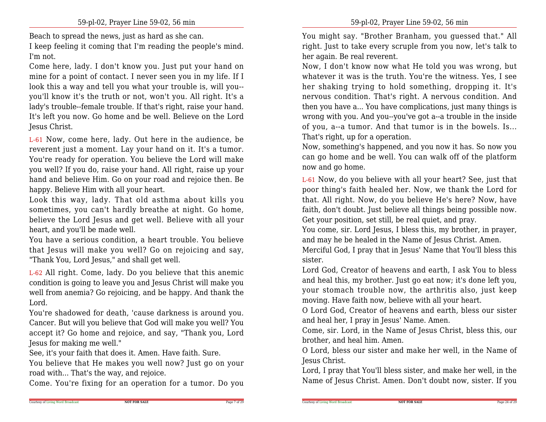Beach to spread the news, just as hard as she can.

 I keep feeling it coming that I'm reading the people's mind.I'm not.

Come here, lady. I don't know you. Just put your hand on mine for a point of contact. I never seen you in my life. If I look this a way and tell you what your trouble is, will you- you'll know it's the truth or not, won't you. All right. It's a lady's trouble--female trouble. If that's right, raise your hand.It's left you now. Go home and be well. Believe on the LordJesus Christ.

L-61 Now, come here, lady. Out here in the audience, be reverent just a moment. Lay your hand on it. It's a tumor.You're ready for operation. You believe the Lord will make you well? If you do, raise your hand. All right, raise up your hand and believe Him. Go on your road and rejoice then. Behappy. Believe Him with all your heart.

 Look this way, lady. That old asthma about kills you sometimes, you can't hardly breathe at night. Go home, believe the Lord Jesus and get well. Believe with all yourheart, and you'll be made well.

 You have a serious condition, a heart trouble. You believe that Jesus will make you well? Go on rejoicing and say,"Thank You, Lord Jesus," and shall get well.

L-62 All right. Come, lady. Do you believe that this anemic condition is going to leave you and Jesus Christ will make you well from anemia? Go rejoicing, and be happy. And thank theLord.

 You're shadowed for death, 'cause darkness is around you.Cancer. But will you believe that God will make you well? You accept it? Go home and rejoice, and say, "Thank you, LordJesus for making me well."

See, it's your faith that does it. Amen. Have faith. Sure.

You believe that He makes you well now? Just go on yourroad with... That's the way, and rejoice.

Come. You're fixing for an operation for a tumor. Do you

You might say. "Brother Branham, you guessed that." Allright. Just to take every scruple from you now, let's talk toher again. Be real reverent.

Now, I don't know now what He told you was wrong, but whatever it was is the truth. You're the witness. Yes, I see her shaking trying to hold something, dropping it. It's nervous condition. That's right. A nervous condition. And then you have a... You have complications, just many things is wrong with you. And you--you've got a--a trouble in the inside of you, a--a tumor. And that tumor is in the bowels. Is...That's right, up for a operation.

 Now, something's happened, and you now it has. So now you can go home and be well. You can walk off of the platformnow and go home.

L-61 Now, do you believe with all your heart? See, just that poor thing's faith healed her. Now, we thank the Lord for that. All right. Now, do you believe He's here? Now, have faith, don't doubt. Just believe all things being possible now.Get your position, set still, be real quiet, and pray.

You come, sir. Lord Jesus, I bless this, my brother, in prayer,and may he be healed in the Name of Jesus Christ. Amen.

Merciful God, I pray that in Jesus' Name that You'll bless thissister.

Lord God, Creator of heavens and earth, I ask You to bless and heal this, my brother. Just go eat now; it's done left you,your stomach trouble now, the arthritis also, just keepmoving. Have faith now, believe with all your heart.

 O Lord God, Creator of heavens and earth, bless our sisterand heal her, I pray in Jesus' Name. Amen.

 Come, sir. Lord, in the Name of Jesus Christ, bless this, ourbrother, and heal him. Amen.

 O Lord, bless our sister and make her well, in the Name ofJesus Christ.

 Lord, I pray that You'll bless sister, and make her well, in theName of Jesus Christ. Amen. Don't doubt now, sister. If you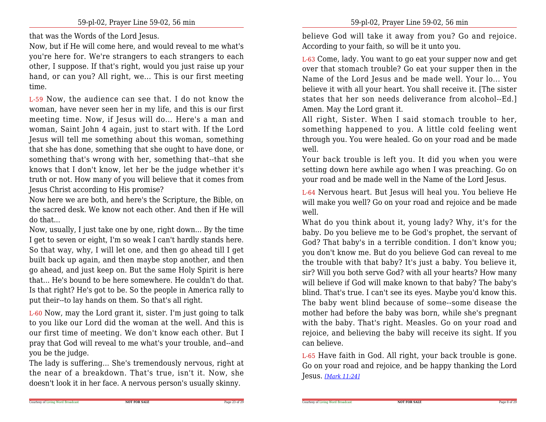that was the Words of the Lord Jesus.

Now, but if He will come here, and would reveal to me what's you're here for. We're strangers to each strangers to each other, I suppose. If that's right, would you just raise up your hand, or can you? All right, we... This is our first meetingtime.

L-59 Now, the audience can see that. I do not know the woman, have never seen her in my life, and this is our first meeting time. Now, if Jesus will do... Here's a man and woman, Saint John 4 again, just to start with. If the Lord Jesus will tell me something about this woman, something that she has done, something that she ought to have done, or something that's wrong with her, something that--that she knows that I don't know, let her be the judge whether it's truth or not. How many of you will believe that it comes fromJesus Christ according to His promise?

 Now here we are both, and here's the Scripture, the Bible, on the sacred desk. We know not each other. And then if He willdo that...

Now, usually, I just take one by one, right down... By the time I get to seven or eight, I'm so weak I can't hardly stands here.So that way, why, I will let one, and then go ahead till I get built back up again, and then maybe stop another, and then go ahead, and just keep on. But the same Holy Spirit is here that... He's bound to be here somewhere. He couldn't do that.Is that right? He's got to be. So the people in America rally toput their--to lay hands on them. So that's all right.

L-60 Now, may the Lord grant it, sister. I'm just going to talk to you like our Lord did the woman at the well. And this is our first time of meeting. We don't know each other. But I pray that God will reveal to me what's your trouble, and--andyou be the judge.

The lady is suffering... She's tremendously nervous, right at the near of a breakdown. That's true, isn't it. Now, shedoesn't look it in her face. A nervous person's usually skinny.

believe God will take it away from you? Go and rejoice.According to your faith, so will be it unto you.

L-63 Come, lady. You want to go eat your supper now and get over that stomach trouble? Go eat your supper then in the Name of the Lord Jesus and be made well. Your lo... You believe it with all your heart. You shall receive it. [The sister states that her son needs deliverance from alcohol--Ed.]Amen. May the Lord grant it.

All right, Sister. When I said stomach trouble to her, something happened to you. A little cold feeling went through you. You were healed. Go on your road and be madewell.

Your back trouble is left you. It did you when you were setting down here awhile ago when I was preaching. Go onyour road and be made well in the Name of the Lord Jesus.

L-64 Nervous heart. But Jesus will heal you. You believe He will make you well? Go on your road and rejoice and be madewell.

 What do you think about it, young lady? Why, it's for the baby. Do you believe me to be God's prophet, the servant of God? That baby's in a terrible condition. I don't know you;you don't know me. But do you believe God can reveal to me the trouble with that baby? It's just a baby. You believe it,sir? Will you both serve God? with all your hearts? How many will believe if God will make known to that baby? The baby's blind. That's true. I can't see its eyes. Maybe you'd know this.The baby went blind because of some--some disease the mother had before the baby was born, while she's pregnantwith the baby. That's right. Measles. Go on your road and rejoice, and believing the baby will receive its sight. If youcan believe.

L-65 Have faith in God. All right, your back trouble is gone.Go on your road and rejoice, and be happy thanking the LordJesus. *[Mark 11:24]*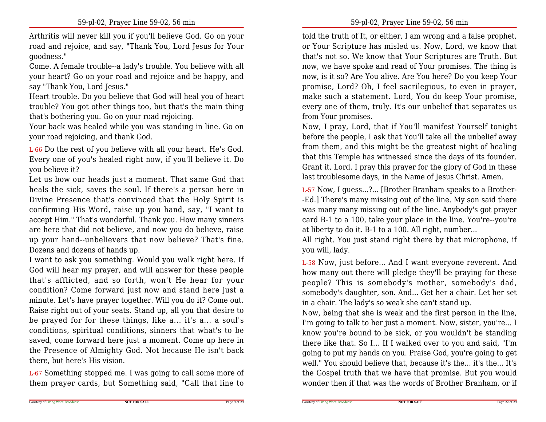Arthritis will never kill you if you'll believe God. Go on your road and rejoice, and say, "Thank You, Lord Jesus for Yourgoodness."

 Come. A female trouble--a lady's trouble. You believe with all your heart? Go on your road and rejoice and be happy, andsay "Thank You, Lord Jesus."

 Heart trouble. Do you believe that God will heal you of heart trouble? You got other things too, but that's the main thingthat's bothering you. Go on your road rejoicing.

 Your back was healed while you was standing in line. Go onyour road rejoicing, and thank God.

L-66 Do the rest of you believe with all your heart. He's God.Every one of you's healed right now, if you'll believe it. Doyou believe it?

 Let us bow our heads just a moment. That same God that heals the sick, saves the soul. If there's a person here in Divine Presence that's convinced that the Holy Spirit is confirming His Word, raise up you hand, say, "I want to accept Him." That's wonderful. Thank you. How many sinners are here that did not believe, and now you do believe, raise up your hand--unbelievers that now believe? That's fine.Dozens and dozens of hands up.

 I want to ask you something. Would you walk right here. If God will hear my prayer, and will answer for these people that's afflicted, and so forth, won't He hear for your condition? Come forward just now and stand here just a minute. Let's have prayer together. Will you do it? Come out. Raise right out of your seats. Stand up, all you that desire to be prayed for for these things, like a... it's a... a soul's conditions, spiritual conditions, sinners that what's to be saved, come forward here just a moment. Come up here in the Presence of Almighty God. Not because He isn't backthere, but here's His vision.

L-67 Something stopped me. I was going to call some more ofthem prayer cards, but Something said, "Call that line to

told the truth of It, or either, I am wrong and a false prophet, or Your Scripture has misled us. Now, Lord, we know that that's not so. We know that Your Scriptures are Truth. But now, we have spoke and read of Your promises. The thing is now, is it so? Are You alive. Are You here? Do you keep Your promise, Lord? Oh, I feel sacrilegious, to even in prayer,make such a statement. Lord, You do keep Your promise,every one of them, truly. It's our unbelief that separates usfrom Your promises.

Now, I pray, Lord, that if You'll manifest Yourself tonight before the people, I ask that You'll take all the unbelief away from them, and this might be the greatest night of healing that this Temple has witnessed since the days of its founder. Grant it, Lord. I pray this prayer for the glory of God in theselast troublesome days, in the Name of Jesus Christ. Amen.

L-57 Now, I guess...?... [Brother Branham speaks to a Brother- -Ed.] There's many missing out of the line. My son said there was many many missing out of the line. Anybody's got prayer card B-1 to a 100, take your place in the line. You're--you'reat liberty to do it. B-1 to a 100. All right, number...

 All right. You just stand right there by that microphone, ifyou will, lady.

L-58 Now, just before... And I want everyone reverent. And how many out there will pledge they'll be praying for these people? This is somebody's mother, somebody's dad, somebody's daughter, son. And... Get her a chair. Let her setin a chair. The lady's so weak she can't stand up.

 Now, being that she is weak and the first person in the line,I'm going to talk to her just a moment. Now, sister, you're... I know you're bound to be sick, or you wouldn't be standing there like that. So I... If I walked over to you and said, "I'm going to put my hands on you. Praise God, you're going to get well." You should believe that, because it's the... it's the... It's the Gospel truth that we have that promise. But you wouldwonder then if that was the words of Brother Branham, or if

Page 9 of 29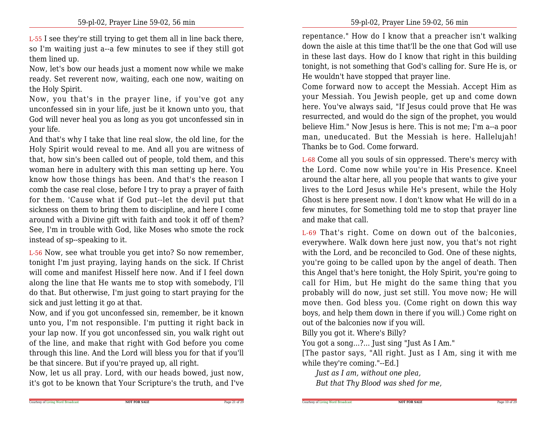L-55 I see they're still trying to get them all in line back there,so I'm waiting just a--a few minutes to see if they still gotthem lined up.

Now, let's bow our heads just a moment now while we make ready. Set reverent now, waiting, each one now, waiting onthe Holy Spirit.

 Now, you that's in the prayer line, if you've got any unconfessed sin in your life, just be it known unto you, that God will never heal you as long as you got unconfessed sin inyour life.

And that's why I take that line real slow, the old line, for the Holy Spirit would reveal to me. And all you are witness of that, how sin's been called out of people, told them, and this woman here in adultery with this man setting up here. You know how those things has been. And that's the reason I comb the case real close, before I try to pray a prayer of faith for them. 'Cause what if God put--let the devil put that sickness on them to bring them to discipline, and here I come around with a Divine gift with faith and took it off of them? See, I'm in trouble with God, like Moses who smote the rockinstead of sp--speaking to it.

L-56 Now, see what trouble you get into? So now remember, tonight I'm just praying, laying hands on the sick. If Christ will come and manifest Hisself here now. And if I feel down along the line that He wants me to stop with somebody, I'lldo that. But otherwise, I'm just going to start praying for thesick and just letting it go at that.

 Now, and if you got unconfessed sin, remember, be it known unto you, I'm not responsible. I'm putting it right back in your lap now. If you got unconfessed sin, you walk right out of the line, and make that right with God before you come through this line. And the Lord will bless you for that if you'llbe that sincere. But if you're prayed up, all right.

 Now, let us all pray. Lord, with our heads bowed, just now,it's got to be known that Your Scripture's the truth, and I've repentance." How do I know that a preacher isn't walking down the aisle at this time that'll be the one that God will use in these last days. How do I know that right in this building tonight, is not something that God's calling for. Sure He is, orHe wouldn't have stopped that prayer line.

 Come forward now to accept the Messiah. Accept Him as your Messiah. You Jewish people, get up and come down here. You've always said, "If Jesus could prove that He was resurrected, and would do the sign of the prophet, you would believe Him." Now Jesus is here. This is not me; I'm a--a poor man, uneducated. But the Messiah is here. Hallelujah! Thanks be to God. Come forward.

L-68 Come all you souls of sin oppressed. There's mercy with the Lord. Come now while you're in His Presence. Kneelaround the altar here, all you people that wants to give your lives to the Lord Jesus while He's present, while the Holy Ghost is here present now. I don't know what He will do in a few minutes, for Something told me to stop that prayer lineand make that call.

L-69 That's right. Come on down out of the balconies, everywhere. Walk down here just now, you that's not right with the Lord, and be reconciled to God. One of these nights, you're going to be called upon by the angel of death. Then this Angel that's here tonight, the Holy Spirit, you're going to call for Him, but He might do the same thing that you probably will do now, just set still. You move now; He willmove then. God bless you. (Come right on down this way boys, and help them down in there if you will.) Come right onout of the balconies now if you will.

Billy you got it. Where's Billy?

Courtesy of Living Word Broadcast

You got a song...?... Just sing "Just As I Am."

 [The pastor says, "All right. Just as I Am, sing it with mewhile they're coming."--Ed.]

**NOT FOR SALE**

*Just as I am, without one plea,*

*But that Thy Blood was shed for me,*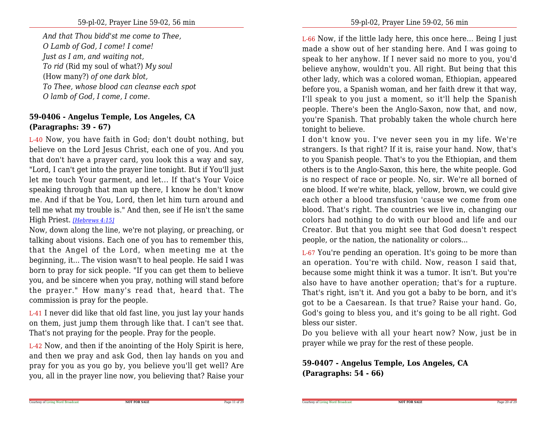*And that Thou bidd'st me come to Thee,O Lamb of God, I come! I come!Just as I am, and waiting not,To rid* (Rid my soul of what?) *My soul*(How many?) *of one dark blot,To Thee, whose blood can cleanse each spotO lamb of God, I come, I come.*

## **59-0406 - Angelus Temple, Los Angeles, CA(Paragraphs: 39 - 67)**

L-40 Now, you have faith in God; don't doubt nothing, but believe on the Lord Jesus Christ, each one of you. And you that don't have a prayer card, you look this a way and say, "Lord, I can't get into the prayer line tonight. But if You'll just let me touch Your garment, and let... If that's Your Voice speaking through that man up there, I know he don't know me. And if that be You, Lord, then let him turn around and tell me what my trouble is." And then, see if He isn't the sameHigh Priest. *[Hebrews 4:15]*

Now, down along the line, we're not playing, or preaching, or talking about visions. Each one of you has to remember this, that the Angel of the Lord, when meeting me at the beginning, it... The vision wasn't to heal people. He said I was born to pray for sick people. "If you can get them to believe you, and be sincere when you pray, nothing will stand before the prayer." How many's read that, heard that. The commission is pray for the people.

L-41 I never did like that old fast line, you just lay your hands on them, just jump them through like that. I can't see that.That's not praying for the people. Pray for the people.

L-42 Now, and then if the anointing of the Holy Spirit is here,and then we pray and ask God, then lay hands on you and pray for you as you go by, you believe you'll get well? Areyou, all in the prayer line now, you believing that? Raise your

L-66 Now, if the little lady here, this once here... Being I just made a show out of her standing here. And I was going to speak to her anyhow. If I never said no more to you, you'd believe anyhow, wouldn't you. All right. But being that this other lady, which was a colored woman, Ethiopian, appeared before you, a Spanish woman, and her faith drew it that way, I'll speak to you just a moment, so it'll help the Spanish people. There's been the Anglo-Saxon, now that, and now,you're Spanish. That probably taken the whole church heretonight to believe.

I don't know you. I've never seen you in my life. We're strangers. Is that right? If it is, raise your hand. Now, that's to you Spanish people. That's to you the Ethiopian, and them others is to the Anglo-Saxon, this here, the white people. God is no respect of race or people. No, sir. We're all borned of one blood. If we're white, black, yellow, brown, we could give each other a blood transfusion 'cause we come from one blood. That's right. The countries we live in, changing our colors had nothing to do with our blood and life and our Creator. But that you might see that God doesn't respectpeople, or the nation, the nationality or colors...

L-67 You're pending an operation. It's going to be more than an operation. You're with child. Now, reason I said that,because some might think it was a tumor. It isn't. But you're also have to have another operation; that's for a rupture.That's right, isn't it. And you got a baby to be born, and it's got to be a Caesarean. Is that true? Raise your hand. Go, God's going to bless you, and it's going to be all right. Godbless our sister.

Do you believe with all your heart now? Now, just be inprayer while we pray for the rest of these people.

**59-0407 - Angelus Temple, Los Angeles, CA(Paragraphs: 54 - 66)**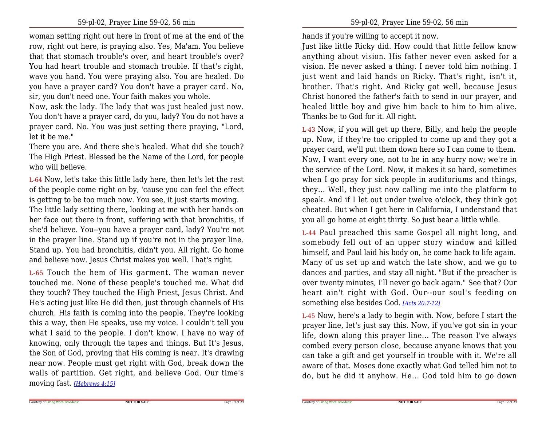woman setting right out here in front of me at the end of the row, right out here, is praying also. Yes, Ma'am. You believe that that stomach trouble's over, and heart trouble's over? You had heart trouble and stomach trouble. If that's right,wave you hand. You were praying also. You are healed. Do you have a prayer card? You don't have a prayer card. No,sir, you don't need one. Your faith makes you whole.

Now, ask the lady. The lady that was just healed just now.You don't have a prayer card, do you, lady? You do not have a prayer card. No. You was just setting there praying, "Lord,let it be me."

 There you are. And there she's healed. What did she touch? The High Priest. Blessed be the Name of the Lord, for peoplewho will believe.

L-64 Now, let's take this little lady here, then let's let the rest of the people come right on by, 'cause you can feel the effectis getting to be too much now. You see, it just starts moving.The little lady setting there, looking at me with her hands on her face out there in front, suffering with that bronchitis, if she'd believe. You--you have a prayer card, lady? You're not in the prayer line. Stand up if you're not in the prayer line.Stand up. You had bronchitis, didn't you. All right. Go homeand believe now. Jesus Christ makes you well. That's right.

L-65 Touch the hem of His garment. The woman never touched me. None of these people's touched me. What did they touch? They touched the High Priest, Jesus Christ. And He's acting just like He did then, just through channels of His church. His faith is coming into the people. They're looking this a way, then He speaks, use my voice. I couldn't tell you what I said to the people. I don't know. I have no way of knowing, only through the tapes and things. But It's Jesus, the Son of God, proving that His coming is near. It's drawing near now. People must get right with God, break down the walls of partition. Get right, and believe God. Our time'smoving fast. *[Hebrews 4:15]*

hands if you're willing to accept it now.

Just like little Ricky did. How could that little fellow know anything about vision. His father never even asked for a vision. He never asked a thing. I never told him nothing. I just went and laid hands on Ricky. That's right, isn't it,brother. That's right. And Ricky got well, because Jesus Christ honored the father's faith to send in our prayer, and healed little boy and give him back to him to him alive.Thanks be to God for it. All right.

L-43 Now, if you will get up there, Billy, and help the people up. Now, if they're too crippled to come up and they got a prayer card, we'll put them down here so I can come to them.Now, I want every one, not to be in any hurry now; we're in the service of the Lord. Now, it makes it so hard, sometimes when I go pray for sick people in auditoriums and things,they... Well, they just now calling me into the platform to speak. And if I let out under twelve o'clock, they think got cheated. But when I get here in California, I understand thatyou all go home at eight thirty. So just bear a little while.

L-44 Paul preached this same Gospel all night long, and somebody fell out of an upper story window and killed himself, and Paul laid his body on, he come back to life again. Many of us set up and watch the late show, and we go to dances and parties, and stay all night. "But if the preacher is over twenty minutes, I'll never go back again." See that? Our heart ain't right with God. Our--our soul's feeding onsomething else besides God. *[Acts 20:7-12]*

L-45 Now, here's a lady to begin with. Now, before I start the prayer line, let's just say this. Now, if you've got sin in your life, down along this prayer line... The reason I've always combed every person close, because anyone knows that you can take a gift and get yourself in trouble with it. We're allaware of that. Moses done exactly what God telled him not todo, but he did it anyhow. He... God told him to go down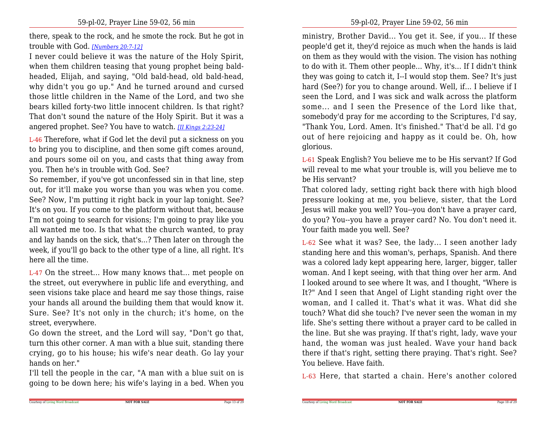there, speak to the rock, and he smote the rock. But he got introuble with God. *[Numbers 20:7-12]*

I never could believe it was the nature of the Holy Spirit,when them children teasing that young prophet being baldheaded, Elijah, and saying, "Old bald-head, old bald-head, why didn't you go up." And he turned around and cursed those little children in the Name of the Lord, and two she bears killed forty-two little innocent children. Is that right? That don't sound the nature of the Holy Spirit. But it was aangered prophet. See? You have to watch. *[II Kings 2:23-24]*

L-46 Therefore, what if God let the devil put a sickness on you to bring you to discipline, and then some gift comes around,and pours some oil on you, and casts that thing away fromyou. Then he's in trouble with God. See?

 So remember, if you've got unconfessed sin in that line, step out, for it'll make you worse than you was when you come. See? Now, I'm putting it right back in your lap tonight. See? It's on you. If you come to the platform without that, because I'm not going to search for visions; I'm going to pray like you all wanted me too. Is that what the church wanted, to pray and lay hands on the sick, that's...? Then later on through the week, if you'll go back to the other type of a line, all right. It'shere all the time.

L-47 On the street... How many knows that... met people on the street, out everywhere in public life and everything, and seen visions take place and heard me say those things, raise your hands all around the building them that would know it. Sure. See? It's not only in the church; it's home, on thestreet, everywhere.

Go down the street, and the Lord will say, "Don't go that,turn this other corner. A man with a blue suit, standing there crying, go to his house; his wife's near death. Go lay yourhands on her."

 I'll tell the people in the car, "A man with a blue suit on isgoing to be down here; his wife's laying in a bed. When you ministry, Brother David... You get it. See, if you... If these people'd get it, they'd rejoice as much when the hands is laid on them as they would with the vision. The vision has nothing to do with it. Them other people... Why, it's... If I didn't think they was going to catch it, I--I would stop them. See? It's just hard (See?) for you to change around. Well, if... I believe if I seen the Lord, and I was sick and walk across the platform some... and I seen the Presence of the Lord like that,somebody'd pray for me according to the Scriptures, I'd say, "Thank You, Lord. Amen. It's finished." That'd be all. I'd go out of here rejoicing and happy as it could be. Oh, howglorious.

L-61 Speak English? You believe me to be His servant? If God will reveal to me what your trouble is, will you believe me tobe His servant?

 That colored lady, setting right back there with high blood pressure looking at me, you believe, sister, that the Lord Jesus will make you well? You--you don't have a prayer card, do you? You--you have a prayer card? No. You don't need it.Your faith made you well. See?

L-62 See what it was? See, the lady... I seen another lady standing here and this woman's, perhaps, Spanish. And there was a colored lady kept appearing here, larger, bigger, taller woman. And I kept seeing, with that thing over her arm. And I looked around to see where It was, and I thought, "Where is It?" And I seen that Angel of Light standing right over the woman, and I called it. That's what it was. What did she touch? What did she touch? I've never seen the woman in my life. She's setting there without a prayer card to be called in the line. But she was praying. If that's right, lady, wave your hand, the woman was just healed. Wave your hand back there if that's right, setting there praying. That's right. See?You believe. Have faith.

L-63 Here, that started a chain. Here's another colored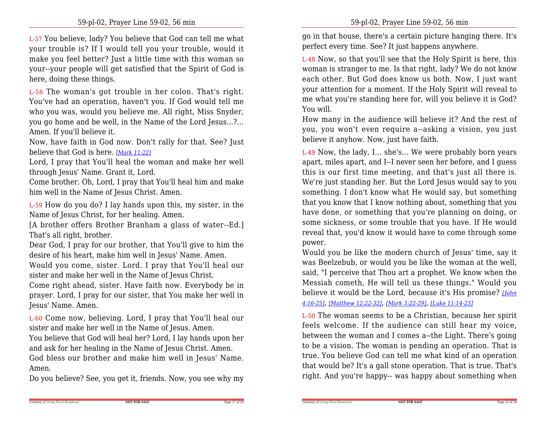L-57 You believe, lady? You believe that God can tell me what your trouble is? If I would tell you your trouble, would it make you feel better? Just a little time with this woman so your--your people will get satisfied that the Spirit of God ishere, doing these things.

L-58 The woman's got trouble in her colon. That's right.You've had an operation, haven't you. If God would tell me who you was, would you believe me. All right, Miss Snyder,you go home and be well, in the Name of the Lord Jesus...?...Amen. If you'll believe it.

Now, have faith in God now. Don't rally for that. See? Justbelieve that God is here. *[Mark 11:22]*

Lord, I pray that You'll heal the woman and make her wellthrough Jesus' Name. Grant it, Lord.

Come brother. Oh, Lord, I pray that You'll heal him and makehim well in the Name of Jesus Christ. Amen.

L-59 How do you do? I lay hands upon this, my sister, in theName of Jesus Christ, for her healing. Amen.

 [A brother offers Brother Branham a glass of water--Ed.]That's all right, brother.

 Dear God, I pray for our brother, that You'll give to him thedesire of his heart, make him well in Jesus' Name. Amen.

 Would you come, sister. Lord. I pray that You'll heal oursister and make her well in the Name of Jesus Christ.

 Come right ahead, sister. Have faith now. Everybody be in prayer. Lord, I pray for our sister, that You make her well inJesus' Name. Amen.

L-60 Come now, believing. Lord, I pray that You'll heal oursister and make her well in the Name of Jesus. Amen.

 You believe that God will heal her? Lord, I lay hands upon herand ask for her healing in the Name of Jesus Christ. Amen.God bless our brother and make him well in Jesus' Name.

Amen.

Do you believe? See, you get it, friends. Now, you see why my

go in that house, there's a certain picture hanging there. It'sperfect every time. See? It just happens anywhere.

L-48 Now, so that you'll see that the Holy Spirit is here, this woman is stranger to me. Is that right, lady? We do not know each other. But God does know us both. Now, I just want your attention for a moment. If the Holy Spirit will reveal to me what you're standing here for, will you believe it is God?You will.

How many in the audience will believe it? And the rest of you, you won't even require a--asking a vision, you justbelieve it anyhow. Now, just have faith.

L-49 Now, the lady, I... she's... We were probably born years apart, miles apart, and I--I never seen her before, and I guess this is our first time meeting, and that's just all there is.We're just standing her. But the Lord Jesus would say to you something. I don't know what He would say, but something that you know that I know nothing about, something that you have done, or something that you're planning on doing, or some sickness, or some trouble that you have. If He would reveal that, you'd know it would have to come through somepower.

Would you be like the modern church of Jesus' time, say it was Beelzebub, or would you be like the woman at the well,said, "I perceive that Thou art a prophet. We know when the Messiah cometh, He will tell us these things." Would you believe it would be the Lord, because it's His promise? *[John4:16-25]*, *[Matthew 12:22-32]*, *[Mark 3:22-29]*, *[Luke 11:14-23]*

L-50 The woman seems to be a Christian, because her spirit feels welcome. If the audience can still hear my voice, between the woman and I comes a--the Light. There's going to be a vision. The woman is pending an operation. That is true. You believe God can tell me what kind of an operation that would be? It's a gall stone operation. That is true. That'sright. And you're happy-- was happy about something when

Page 17 of 29